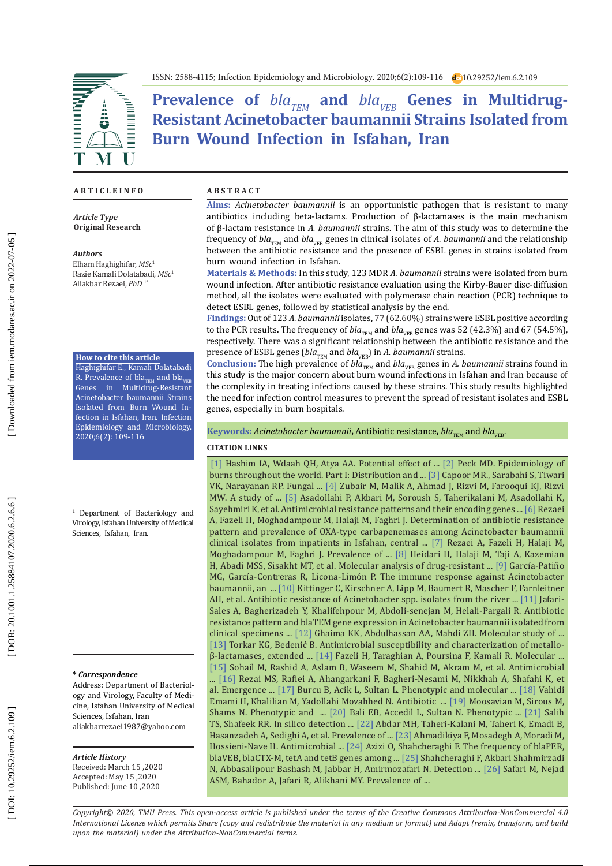ISSN: 2588-4115; Infection Epidemiology and Microbiology. 2020;6(2):109-116 10.29252/iem.6.2.109

Prevalence of  $bla_{\text{TEM}}$  and  $bla_{\text{VEB}}$  Genes in Multidrug-**Resistant Acinetobacter baumannii Strains Isolated from Burn Wound Infection in Isfahan, Iran**

#### **A R T I C L E I N F O A B S T R A C T**

*Article Type* **Original Research**

#### *Authors*

Elham Haghighifar, *MSc* 1 Razie Kamali Dolatabadi, *MSc* 1 Aliakbar Rezaei, *PhD* 1\*

#### **How to cite this article**

Haghighifar E., Kamali Dolatabadi R. Prevalence of  $bla_{\text{TEM}}$  and  $bla_{\text{VEE}}$ Genes in Multidrug-Resistant Acinetobacter baumannii Strains Isolated from Burn Wound In fection in Isfahan, Iran. Infection Epidemiology and Microbiology. 2020;6(2): 109-116

1 Department of Bacteriology and Virology, Isfahan University of Medical Sciences, Isfahan, Iran.

#### **\*** *Correspondence*

Address: Department of Bacteriol ogy and Virology, Faculty of Medi cine, Isfahan University of Medical Sciences, Isfahan, Iran aliakbarrezaei1987@yahoo.com

## *Article History*

Received: March 15 ,2020 Accepted: May 15 ,2020 Published: June 10 ,2020

**Aims:** *Acinetobacter baumannii* is an opportunistic pathogen that is resistant to many antibiotics including beta-lactams. Production of β-lactamases is the main mechanism of β-lactam resistance in *A. baumannii* strains. The aim of this study was to determine the frequency of *bla*<sub>TEM</sub> and *bla*<sub>VEB</sub> genes in clinical isolates of *A. baumannii* and the relationship between the antibiotic resistance and the presence of ESBL genes in strains isolated from burn wound infection in Isfahan.

**Materials & Methods:** In this study, 123 MDR *A. baumannii* strains were isolated from burn wound infection. After antibiotic resistance evaluation using the Kirby-Bauer disc-diffusion method, all the isolates were evaluated with polymerase chain reaction (PCR) technique to detect ESBL genes, followed by statistical analysis by the end .

**Findings:**Out of 123 *A. baumannii* isolates, 77 (62.60%) strains were ESBL positive according to the PCR results. The frequency of *bla*<sub>TEM</sub> and *bla*<sub>VEB</sub> genes was 52 (42.3%) and 67 (54.5%), respectively. There was a significant relationship between the antibiotic resistance and the presence of ESBL genes (*bla*<sub>TEM</sub> and *bla*<sub>VEB</sub>) in *A. baumannii* strains *.*

Conclusion: The high prevalence of *bla*<sub>TEM</sub> and *bla*<sub>VEB</sub> genes in *A. baumannii* strains found in this study is the major concern about burn wound infections in Isfahan and Iran because of the complexity in treating infections caused by these strains. This study results highlighted the need for infection control measures to prevent the spread of resistant isolates and ESBL genes, especially in burn hospitals.

 $\kappa$ eywords: *Acinetobacter baumannii,* Antibiotic resistance, *bla<sub>TEM</sub>* and *bla<sub>VEB</sub>* 

### **CITATION LINKS**

[\[1\]](https://jsci.utq.edu.iq/index.php/main/article/view/241) Hashim IA, Wdaah QH, Atya AA. Potential effect of ... [\[2\]](https://pubmed.ncbi.nlm.nih.gov/21802856) Peck MD. Epidemiology of burns throughout the world. Part I: Distribution and ... [\[3\]](https://www.thieme-connect.com/products/ejournals/abstract/10.1055/s-0039-1699460) Capoor MR., Sarabahi S, Tiwari VK, Narayanan RP. Fungal ... [\[4\]](https://www.researchgate.net/profile/Mohammad_Zubair/publication/216016394_PRODUCTION_OF_BIOFILM_FORMATION_BY_GRAMNEGATIVE_ORGANISMS_ISOLATED_FROM_DIABETIC_FOOT_ULCER_PATIENTS_AND_ITS_CORRELATION_WITH_CLINICAL_PROFILE/links/0deec538e1113010ae000000/PRODUC\
TION-OF-BIOFILM-FORMATION-BY-GRAMNEGATIVE-ORGANISMS-ISOLATED-FROM-DIABETIC-FOOT-ULCER-PATIENTS-AND-ITS-CORRELATION-WITH-CLINICAL-PROFILE.pdf) Zubair M, Malik A, Ahmad J, Rizvi M, Farooqui KJ, Rizvi MW. A study of ... [\[5\]](https://www.sciencedirect.com/science/article/pii/S0305417912001337) Asadollahi P, Akbari M, Soroush S, Taherikalani M, Asadollahi K, Sayehmiri K, et al. Antimicrobial resistance patterns and their encoding genes ... [\[6\]](https://pdfs.semanticscholar.org/a2a9/a6944af3aa4a2914e7a2d971fbcecc8ea542.pdf) Rezaei A, Fazeli H, Moghadampour M, Halaji M, Faghri J. Determination of antibiotic resistance pattern and prevalence of OXA-type carbapenemases among Acinetobacter baumannii clinical isolates from inpatients in Isfahan, central ... [\[7\]](https://pubmed.ncbi.nlm.nih.gov/29895050) Rezaei A, Fazeli H, Halaji M, Moghadampour M, Faghri J. Prevalence of ... [\[8\]](https://www.sciencedirect.com/science/article/pii/S2214540018301312) Heidari H, Halaji M, Taji A, Kazemian H, Abadi MSS, Sisakht MT, et al. Molecular analysis of drug-resistant ... [\[9\]](https://www.frontiersin.org/articles/10.3389/fimmu.2017.00441/full) García-Patiño MG, García-Contreras R, Licona-Limón P. The immune response against Acinetobacter baumannii, an ... [\[10\]](https://www.mdpi.com/1660-4601/15/1/52) Kittinger C, Kirschner A, Lipp M, Baumert R, Mascher F, Farnleitner AH, et al. Antibiotic resistance of Acinetobacter spp. isolates from the river ... [\[11\]](http://zanko.muk.ac.ir/browse.php?a_id=434&sid=1&slc_lang=en) Jafari-Sales A, Bagherizadeh Y, Khalifehpour M, Abdoli-senejan M, Helali-Pargali R. Antibiotic resistance pattern and blaTEM gene expression in Acinetobacter baumannii isolated from clinical specimens ... [\[12\]](https://d1wqtxts1xzle7.cloudfront.net/56640761/MOLECULAR_STUDY_OF_ESBL.pdf?1527113212=&response-content-disposition=inline%3B+filename%3DMOLECULAR_STUDY_OF_EXTENDED_SPECTRUM_BET.pdf&Expires=1593111958&Signature=P7nwxQPqvjGCtTAK1L5ixG5w-7w6HYlOQLAfw7lcJeyn\
kkConLOGA35oo5RSOFv3gnicN7rsGL-zJcg9Vr8Aur1r~jiGiaboJpfhxYaV5icR9u-H~mbX1CJwrYwncLvQFppRmE47ieo0ASp--ZMMV1D7OvNTtZBsPD-QcJQPBjEg7c81WpZhWk9rlc-7yARDB~wCksgvM3ykQq2wl8FhLo39Np06Vpr3NjmVh7gfLfW9Dyr37FgJ9AKb9eIkv02x~2A1kPiJqC7cypS2iwHxPd9iWPiSAG0RLquXMqtGCXg\
dfpop7sUYEp88wh1ebDxiERNHjX2nRXvIo7tOUvSWfw__&Key-Pair-Id=APKAJLOHF5GGSLRBV4ZA) Ghaima KK, Abdulhassan AA, Mahdi ZH. Molecular study of ... [\[13\]](https://www.sciencedirect.com/science/article/pii/S0882401016304934) Torkar KG, Bedenić B. Antimicrobial susceptibility and characterization of metalloβ-lactamases, extended ... [\[14\]](http://ajcmi.umsha.ac.ir/Article/ajcmi-21) Fazeli H, Taraghian A, Poursina F, Kamali R. Molecular ... [\[15\]](https://www.scielo.br/scielo.php?pid=S0037-86822016000300300&script=sci_arttext) Sohail M, Rashid A, Aslam B, Waseem M, Shahid M, Akram M, et al. Antimicrobial ... [\[16\]](https://pdfs.semanticscholar.org/4ea2/7319c52f41871c8f04387c50ffa8e65e7c96.pdf) Rezai MS, Rafiei A, Ahangarkani F, Bagheri-Nesami M, Nikkhah A, Shafahi K, et al. Emergence ... [\[17\]](https://www.sid.ir/en/journal/ViewPaper.aspx?ID=226792) Burcu B, Acik L, Sultan L. Phenotypic and molecular ... [\[18\]](http://goums.ac.ir/mljgoums/article-1-1049-en.html&sw=) Vahidi Emami H, Khalilian M, Yadollahi Movahhed N. Antibiotic ... [\[19\]](http://search.proquest.com/openview/43ac45b5cdc3cd04e978ae6dc4a9fb6f/1?pq-origsite=gscholar&cbl=55020) Moosavian M, Sirous M, Shams N. Phenotypic and ... [\[20\]](https://academicjournals.org/journal/AJMR/article-abstract/1FC9DE412489) Bali EB, Accedil L, Sultan N. Phenotypic ... [\[21\]](http://www.jjbs.hu.edu.jo/files/vol12/n5/Paper%20Number%209.pdf) Salih TS, Shafeek RR. In silico detection ... [\[22\]](https://www.ncbi.nlm.nih.gov/pmc/articles/PMC6388673/) Abdar MH, Taheri-Kalani M, Taheri K, Emadi B, Hasanzadeh A, Sedighi A, et al. Prevalence of ... [\[23\]](https://www.researchgate.net/publication/320267053_Antimicrobial_Resistance_Patterns_and_Frequency_of_Extended-Spectrum_Beta-Lactamase_Genes_among_Acinetobacter_Baumannii) Ahmadikiya F, Mosadegh A, Moradi M, Hossieni-Nave H. Antimicrobial ... [\[24\]](http://eprints.thums.ac.ir/168/) Azizi O, Shahcheraghi F. The frequency of blaPER, blaVEB, blaCTX-M, tetA and tetB genes among ... [\[25\]](https://ijmm.ir/article-1-135-en.html) Shahcheraghi F, Akbari Shahmirzadi N, Abbasalipour Bashash M, Jabbar H, Amirmozafari N. Detection ... [\[26\]](https://www.sciencedirect.com/science/article/pii/S1319562X15000054) Safari M, Nejad ASM, Bahador A, Jafari R, Alikhani MY. Prevalence of ...

*Copyright© 2020, TMU Press. This open-access article is published under the terms of the Creative Commons Attribution-NonCommercial 4.0 International License which permits Share (copy and redistribute the material in any medium or format) and Adapt (remix, transform, and build upon the material) under the Attribution-NonCommercial terms.*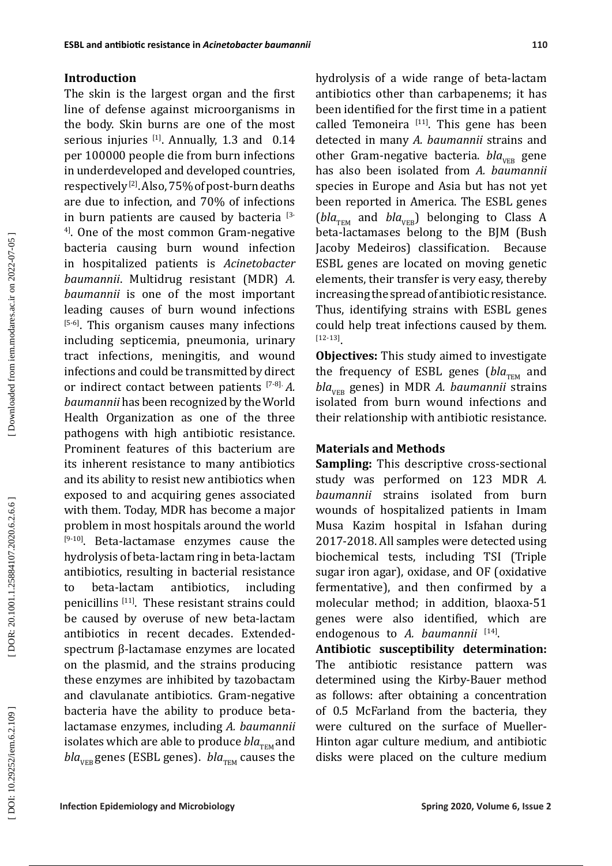# **Introduction**

The skin is the largest organ and the first line of defense against microorganisms in the body. Skin burns are one of the most serious injuries  $[1]$ . Annually, 1.3 and 0.14 per 100000 people die from burn infections in underdeveloped and developed countries, respectively [ 2 ] . Also, 75% of post-burn deaths are due to infection, and 70% of infections in burn patients are caused by bacteria  $^{3}$ 4 ] . One of the most common Gram-negative bacteria causing burn wound infection in hospitalized patients is *Acinetobacter baumannii*. Multidrug resistant (MDR) *A. baumannii* is one of the most important leading causes of burn wound infections [5-6] . This organism causes many infections including septicemia, pneumonia, urinary tract infections, meningitis, and wound infections and could be transmitted by direct or indirect contact between patients [ 7 - 8]. *A. baumannii* has been recognized by the World Health Organization as one of the three pathogens with high antibiotic resistance. Prominent features of this bacterium are its inherent resistance to many antibiotics and its ability to resist new antibiotics when exposed to and acquiring genes associated with them. Today, MDR has become a major<br>problem in most hospitals around the world problem in most hospitals around the world [9-10] . Beta-lactamase enzymes cause the hydrolysis of beta-lactam ring in beta-lactam antibiotics, resulting in bacterial resistance to beta-lactam antibiotics, including penicillins [11 ] . These resistant strains could be caused by overuse of new beta-lactam antibiotics in recent decades. Extendedspectrum β-lactamase enzymes are located on the plasmid, and the strains producing these enzymes are inhibited by tazobactam and clavulanate antibiotics. Gram-negative bacteria have the ability to produce betalactamase enzymes, including *A. baumannii* isolates which are able to produce *bla<sub>TEM</sub>* and  $bla_{VFR}$  genes (ESBL genes).  $bla_{TFM}$  causes the

hydrolysis of a wide range of beta-lactam antibiotics other than carbapenems; it has been identified for the first time in a patient called Temoneira  $[11]$ . This gene has been detected in many *A. baumannii* strains and other Gram-negative bacteria. *bla<sub>VEB</sub>* gene has also been isolated from *A. baumannii* species in Europe and Asia but has not yet been reported in America. The ESBL genes  $(bla<sub>TEM</sub>$  and  $bla<sub>VEN</sub>$  belonging to Class A beta-lactamases belong to the BJM (Bush Jacoby Medeiros) classification. Because ESBL genes are located on moving genetic elements, their transfer is very easy, thereby increasing the spread of antibiotic resistance. Thus, identifying strains with ESBL genes could help treat infections caused by them.  $[12-13]$ 

**Objectives:** This study aimed to investigate the frequency of ESBL genes (bla<sub>TEM</sub> and *bla*<sub>vEP</sub> genes) in MDR *A. baumannii* strains isolated from burn wound infections and their relationship with antibiotic resistance.

## **Materials and Methods**

**Sampling:** This descriptive cross-sectional study was performed on 123 MDR *A. baumannii* strains isolated from burn wounds of hospitalized patients in Imam Musa Kazim hospital in Isfahan during 2017-2018. All samples were detected using biochemical tests, including TSI (Triple sugar iron agar), oxidase, and OF (oxidative fermentative), and then confirmed by a molecular method; in addition, blaoxa-51 genes were also identified, which are endogenous to A. baumannii<sup>[14]</sup>.

**Antibiotic susceptibility determination:** The antibiotic resistance pattern was determined using the Kirby-Bauer method as follows: after obtaining a concentration of 0.5 McFarland from the bacteria, they were cultured on the surface of Mueller-Hinton agar culture medium, and antibiotic disks were placed on the culture medium

DOI: 10.29252/iem.6.2.109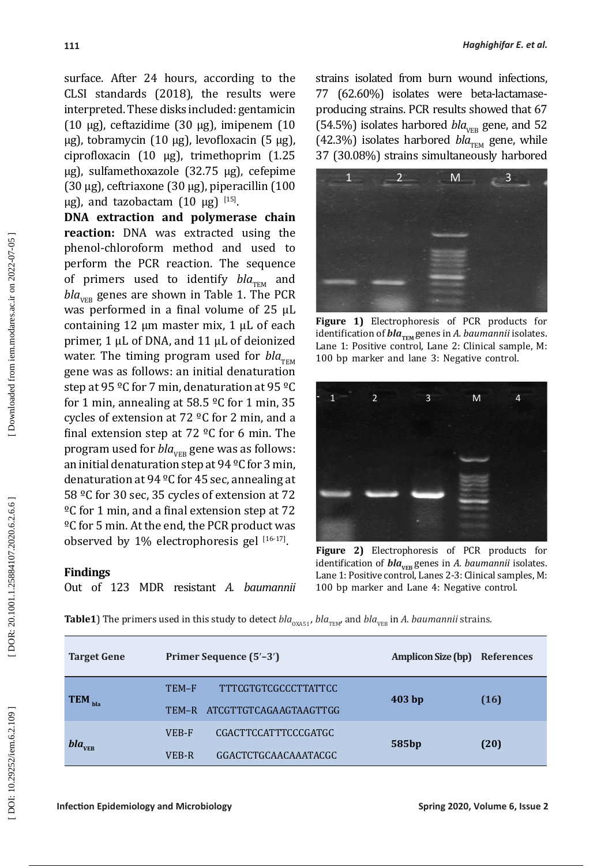surface. After 24 hours, according to the CLSI standards (2018), the results were interpreted. These disks included: gentamicin (10 µg), ceftazidime (30 µg), imipenem (10 µg), tobramycin (10 µg), levofloxacin (5 µg), ciprofloxacin (10 µg), trimethoprim (1.25 µg), sulfamethoxazole (32.75 µg), cefepime (30 µg), ceftriaxone (30 µg), piperacillin (100  $\mu$ g), and tazobactam  $(10 \mu g)^{115}$ .

**DNA extraction and polymerase chain reaction:** DNA was extracted using the phenol-chloroform method and used to perform the PCR reaction. The sequence of primers used to identify *bla<sub>TEM</sub>* and  $bla_{VFR}$  genes are shown in Table 1. The PCR was performed in a final volume of 25 μL containing 12 μm master mix, 1 μL of each primer, 1 μL of DNA, and 11 μL of deionized water. The timing program used for  $bla_{\text{TEM}}$ gene was as follows: an initial denaturation step at 95 °C for 7 min, denaturation at 95 °C for 1 min, annealing at 58.5 ºC for 1 min, 35 cycles of extension at 72 ºC for 2 min, and a final extension step at 72  $^{\circ}$ C for 6 min. The program used for *bla*<sub>VEB</sub> gene was as follows: an initial denaturation step at 94 ºC for 3 min, denaturation at 94 ºC for 45 sec, annealing at 58 ºC for 30 sec, 35 cycles of extension at 72 ºC for 1 min, and a final extension step at 72 ºC for 5 min. At the end, the PCR product was observed by  $1\%$  electrophoresis gel  $[16-17]$ .

## **Findings**

Out of 123 MDR resistant *A. baumannii*

strains isolated from burn wound infections, 77 (62.60%) isolates were beta-lactamaseproducing strains. PCR results showed that 67 (54.5%) isolates harbored  $bla_{VFR}$  gene, and 52 (42.3%) isolates harbored  $bla_{\text{TEM}}$  gene, while 37 (30.08%) strains simultaneously harbored



**Figure 1)** Electrophoresis of PCR products for identification of *bla*<sub>*TEM</sub>* genes in *A. baumannii* isolates.</sub> Lane 1: Positive control, Lane 2: Clinical sample, M: 100 bp marker and lane 3: Negative control.



**Figure 2)** Electrophoresis of PCR products for identification of *bla*<sub>VEB</sub> genes in *A. baumannii* isolates. Lane 1: Positive control, Lanes 2-3: Clinical samples, M: 100 bp marker and Lane 4: Negative control.

| <b>Table1)</b> The primers used in this study to detect bla <sub>oxa51</sub> , bla <sub>TEM</sub> and bla <sub>vEB</sub> in A. baumannii strains. |  |  |
|---------------------------------------------------------------------------------------------------------------------------------------------------|--|--|
|---------------------------------------------------------------------------------------------------------------------------------------------------|--|--|

| <b>Target Gene</b>   | Primer Sequence (5'-3') |                             | <b>Amplicon Size (bp)</b> | <b>References</b> |
|----------------------|-------------------------|-----------------------------|---------------------------|-------------------|
| $TEM$ <sub>bla</sub> | TEM-F                   | <b>TTTCGTGTCGCCCTTATTCC</b> |                           | (16)              |
|                      | TEM-R                   | ATCGTTGTCAGAAGTAAGTTGG      | 403 <sub>bp</sub>         |                   |
| bla <sub>VEB</sub>   | VEB-F                   | CGACTTCCATTTCCCGATGC        |                           | (20)              |
|                      | VEB-R                   | GGACTCTGCAACAAATACGC        | 585bp                     |                   |

Downloaded from iem.modares.ac.ir on 2022-07-05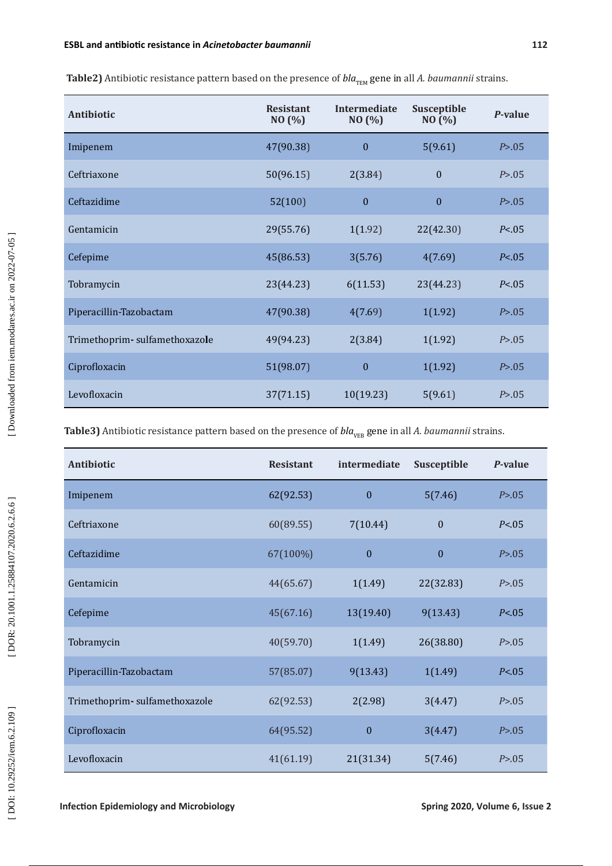| Antibiotic                    | <b>Resistant</b><br>NO (%) | Intermediate<br>NO (%) | Susceptible<br>NO(%) | P-value  |
|-------------------------------|----------------------------|------------------------|----------------------|----------|
| Imipenem                      | 47(90.38)                  | $\boldsymbol{0}$       | 5(9.61)              | P > .05  |
| Ceftriaxone                   | 50(96.15)                  | 2(3.84)                | $\theta$             | P > 0.05 |
| Ceftazidime                   | 52(100)                    | $\boldsymbol{0}$       | $\boldsymbol{0}$     | P > .05  |
| Gentamicin                    | 29(55.76)                  | 1(1.92)                | 22(42.30)            | P < 0.05 |
| Cefepime                      | 45(86.53)                  | 3(5.76)                | 4(7.69)              | P < 0.05 |
| Tobramycin                    | 23(44.23)                  | 6(11.53)               | 23(44.23)            | P < 0.05 |
| Piperacillin-Tazobactam       | 47(90.38)                  | 4(7.69)                | 1(1.92)              | P > .05  |
| Trimethoprim-sulfamethoxazole | 49(94.23)                  | 2(3.84)                | 1(1.92)              | P > 0.05 |
| Ciprofloxacin                 | 51(98.07)                  | $\mathbf{0}$           | 1(1.92)              | P > .05  |
| Levofloxacin                  | 37(71.15)                  | 10(19.23)              | 5(9.61)              | P > .05  |

**Table2)** Antibiotic resistance pattern based on the presence of *bla*<sub>TEM</sub> gene in all *A. baumannii* strains.

Table3) Antibiotic resistance pattern based on the presence of *bla*<sub>VEB</sub> gene in all *A. baumannii* strains.

| Antibiotic                    | <b>Resistant</b> | intermediate     | Susceptible  | P-value  |
|-------------------------------|------------------|------------------|--------------|----------|
| Imipenem                      | 62(92.53)        | $\mathbf{0}$     | 5(7.46)      | P > .05  |
| Ceftriaxone                   | 60(89.55)        | 7(10.44)         | $\mathbf{0}$ | P < 0.05 |
| Ceftazidime                   | 67(100%)         | $\mathbf{0}$     | $\mathbf{0}$ | P > 0.05 |
| Gentamicin                    | 44(65.67)        | 1(1.49)          | 22(32.83)    | P > .05  |
| Cefepime                      | 45(67.16)        | 13(19.40)        | 9(13.43)     | P < 0.05 |
| Tobramycin                    | 40(59.70)        | 1(1.49)          | 26(38.80)    | P > 0.05 |
| Piperacillin-Tazobactam       | 57(85.07)        | 9(13.43)         | 1(1.49)      | P < 0.05 |
| Trimethoprim-sulfamethoxazole | 62(92.53)        | 2(2.98)          | 3(4.47)      | P > 0.05 |
| Ciprofloxacin                 | 64(95.52)        | $\boldsymbol{0}$ | 3(4.47)      | P > .05  |
| Levofloxacin                  | 41(61.19)        | 21(31.34)        | 5(7.46)      | P > 0.05 |

**Infection Epidemiology and Microbiology Spring 2020, Volume 6, Issue 2**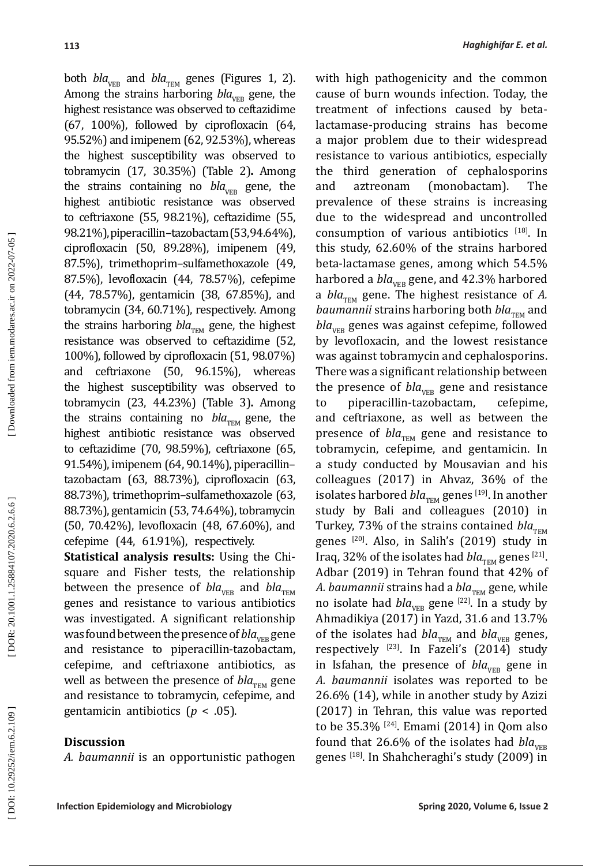both  $bla_{VER}$  and  $bla_{TEM}$  genes (Figures 1, 2). Among the strains harboring  $bla_{VFB}$  gene, the highest resistance was observed to ceftazidime (67, 100%), followed by ciprofloxacin (64, 95.52%) and imipenem (62, 92.53%), whereas the highest susceptibility was observed to tobramycin (17, 30.35%) (Table 2)**.** Among the strains containing no  $bla_{VED}$  gene, the highest antibiotic resistance was observed to ceftriaxone (55, 98.21%), ceftazidime (55, 98.21%), piperacillin–tazobactam (53, 94.64%), ciprofloxacin (50, 89.28%), imipenem (49, 87.5%), trimethoprim–sulfamethoxazole (49, 87.5%), levofloxacin (44, 78.57%), cefepime (44, 78.57%), gentamicin (38, 67.85%), and tobramycin (34, 60.71%), respectively. Among the strains harboring  $bla_{\text{TEM}}$  gene, the highest resistance was observed to ceftazidime (52, 100%), followed by ciprofloxacin (51, 98.07%) and ceftriaxone (50, 96.15%), whereas the highest susceptibility was observed to tobramycin (23, 44.23%) (Table 3) **.** Among the strains containing no  $bla_{\text{TEM}}$  gene, the highest antibiotic resistance was observed to ceftazidime (70, 98.59%), ceftriaxone (65, 91.54%), imipenem (64, 90.14%), piperacillin– tazobactam (63, 88.73%), ciprofloxacin (63, 88.73%), trimethoprim–sulfamethoxazole (63, 88.73%), gentamicin (53, 74.64%), tobramycin (50, 70.42%), levofloxacin (48, 67.60%), and cefepime (44, 61.91%), respectively.

**Statistical analysis results:** Using the Chisquare and Fisher tests, the relationship between the presence of  $bla_{VER}$  and  $bla_{TEM}$ genes and resistance to various antibiotics was investigated. A significant relationship was found between the presence of *bla*<sub>VEB</sub> gene and resistance to piperacillin-tazobactam, cefepime, and ceftriaxone antibiotics, as well as between the presence of  $bla_{\text{TEM}}$  gene and resistance to tobramycin, cefepime, and gentamicin antibiotics (*p* < .05).

## **Discussion**

*A. baumannii* is an opportunistic pathogen

with high pathogenicity and the common cause of burn wounds infection. Today, the treatment of infections caused by betalactamase-producing strains has become a major problem due to their widespread resistance to various antibiotics, especially the third generation of cephalosporins and aztreonam (monobactam). The prevalence of these strains is increasing due to the widespread and uncontrolled consumption of various antibiotics  $[18]$ . In this study, 62.60% of the strains harbored beta-lactamase genes, among which 54.5% harbored a *bla<sub>vEB</sub>* gene, and 42.3% harbored a  $bla_{\text{TEM}}$  gene. The highest resistance of *A*. *baumannii* strains harboring both *bla<sub>TEM</sub>* and  $bla_{VFR}$  genes was against cefepime, followed by levofloxacin, and the lowest resistance was against tobramycin and cephalosporins. There was a significant relationship between the presence of  $bla_{VEB}$  gene and resistance<br>to piperacillin-tazobactam, cefepime, piperacillin-tazobactam, and ceftriaxone, as well as between the presence of *bla*<sub>TEM</sub> gene and resistance to tobramycin, cefepime, and gentamicin. In a study conducted by Mousavian and his colleagues (2017) in Ahvaz, 36% of the isolates harbored *bla*<sub>TEM</sub> genes <sup>[19]</sup>. In another study by Bali and colleagues (2010) in Turkey, 73% of the strains contained *bla*<sub>TEM</sub> genes [20 ] . Also, in Salih's (2019) study in Iraq, 32% of the isolates had *bla*<sub>TEM</sub> genes <sup>[21]</sup>. Adbar (2019) in Tehran found that 42% of *A. baumannii* strains had a *bla<sub>TEM</sub>* gene, while no isolate had  $bla_{VEB}$  gene  $^{[22]}$ . In a study by Ahmadikiya (2017) in Yazd, 31.6 and 13.7% of the isolates had  $bla_{\text{TEM}}$  and  $bla_{\text{VER}}$  genes, respectively  $^{[23]}$ . In Fazeli's (2014) study in Isfahan, the presence of  $bla_{VER}$  gene in *A. baumannii* isolates was reported to be 26.6% (14), while in another study by Azizi (2017) in Tehran, this value was reported to be  $35.3\%$   $^{[24]}$ . Emami (2014) in Qom also found that 26.6% of the isolates had  $bla_{VFR}$ genes [18 ] . In Shahcheraghi's study (2009) in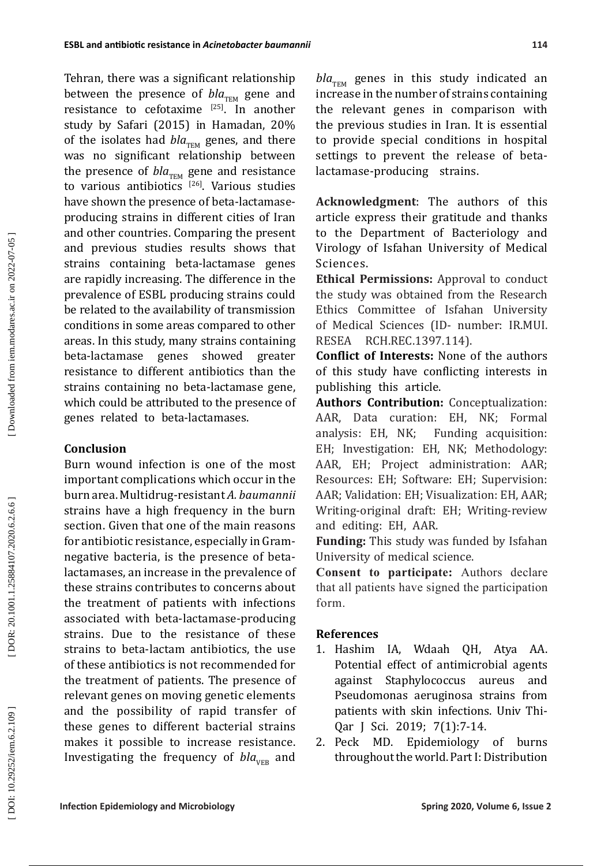Tehran, there was a significant relationship between the presence of *bla<sub>TEM</sub>* gene and resistance to cefotaxime  $[25]$ . In another study by Safari (2015) in Hamadan, 20% of the isolates had  $bla_{\text{TEM}}$  genes, and there was no significant relationship between the presence of  $bla_{\text{TEM}}$  gene and resistance to various antibiotics <sup>[26]</sup>. Various studies have shown the presence of beta-lactamaseproducing strains in different cities of Iran and other countries. Comparing the present and previous studies results shows that strains containing beta-lactamase genes are rapidly increasing. The difference in the prevalence of ESBL producing strains could be related to the availability of transmission conditions in some areas compared to other areas. In this study, many strains containing beta-lactamase genes showed greater resistance to different antibiotics than the strains containing no beta-lactamase gene, which could be attributed to the presence of genes related to beta-lactamases.

# **Conclusion**

Burn wound infection is one of the most important complications which occur in the burn area. Multidrug-resistant *A. baumannii* strains have a high frequency in the burn section. Given that one of the main reasons for antibiotic resistance, especially in Gramnegative bacteria, is the presence of betalactamases, an increase in the prevalence of these strains contributes to concerns about the treatment of patients with infections associated with beta-lactamase-producing strains. Due to the resistance of these strains to beta-lactam antibiotics, the use of these antibiotics is not recommended for the treatment of patients. The presence of relevant genes on moving genetic elements and the possibility of rapid transfer of these genes to different bacterial strains makes it possible to increase resistance. Investigating the frequency of  $bla_{VER}$  and

 $bla_{\text{TEM}}$  genes in this study indicated an increase in the number of strains containing the relevant genes in comparison with the previous studies in Iran. It is essential to provide special conditions in hospital settings to prevent the release of betalactamase-producing strains.

**Acknowledgment**: The authors of this article express their gratitude and thanks to the Department of Bacteriology and Virology of Isfahan University of Medical Sciences.

**Ethical Permissions:** Approval to conduct the study was obtained from the Research Ethics Committee of Isfahan University of Medical Sciences (ID- number: IR.MUI. RESEA RCH.REC.1397.114).

**Conflict of Interests:** None of the authors of this study have conflicting interests in publishing this article.

**Authors Contribution:** Conceptualization: AAR, Data curation: EH, NK; Formal<br>analysis: EH, NK; Funding acquisition: Funding acquisition: EH; Investigation: EH, NK; Methodology: AAR, EH; Project administration: AAR; Resources: EH; Software: EH; Supervision: AAR; Validation: EH; Visualization: EH, AAR; Writing-original draft: EH; Writing-review and editing: EH, AAR.

**Funding:** This study was funded by Isfahan University of medical science.

**Consent to participate:** Authors declare that all patients have signed the participation form.

# **References**

- 1. Hashim IA, Wdaah QH, Atya AA. Potential effect of antimicrobial agents against Staphylococcus aureus and Pseudomonas aeruginosa strains from patients with skin infections. Univ Thi-Qar J Sci. 2019; 7(1):7-14.
- 2. Peck MD. Epidemiology of burns throughout the world. Part I: Distribution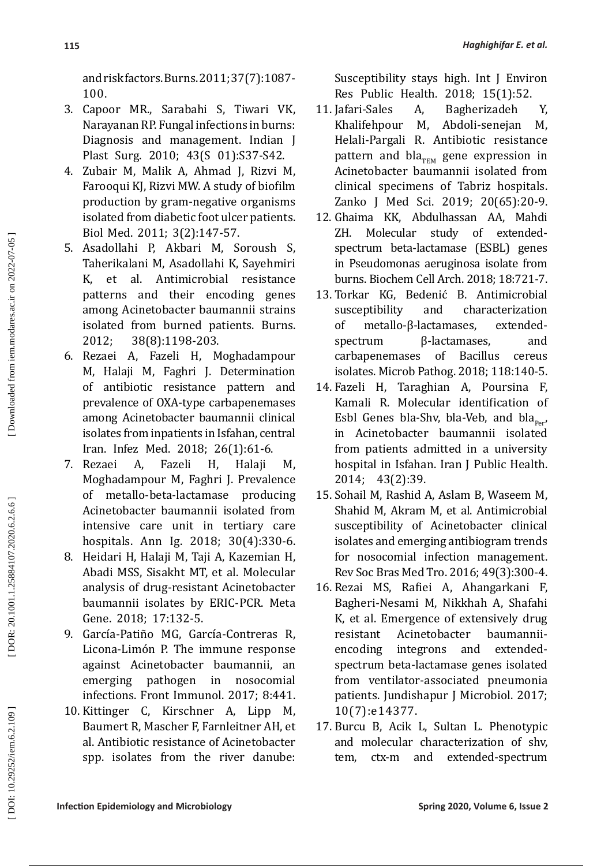and risk factors. Burns. 2011; 37(7):1087- 100.

- 3. Capoor MR., Sarabahi S, Tiwari VK, Narayanan RP. Fungal infections in burns: Diagnosis and management. Indian J Plast Surg. 2010; 43(S 01):S37-S42.
- 4. Zubair M, Malik A, Ahmad J, Rizvi M, Farooqui KJ, Rizvi MW. A study of biofilm production by gram-negative organisms isolated from diabetic foot ulcer patients. Biol Med. 2011; 3(2):147-57.
- 5. Asadollahi P, Akbari M, Soroush S, Taherikalani M, Asadollahi K, Sayehmiri K, et al. Antimicrobial resistance patterns and their encoding genes among Acinetobacter baumannii strains isolated from burned patients. Burns.
- 2012; 38(8):1198-203.<br>6. Rezaei A. Fazeli H. M 6. Rezaei A, Fazeli H, Moghadampour M, Halaji M, Faghri J. Determination of antibiotic resistance pattern and prevalence of OXA-type carbapenemases among Acinetobacter baumannii clinical isolates from inpatients in Isfahan, central Iran. Infez Med. 2018; 26(1):61-6.
- 7. Rezaei A, Fazeli H, Halaji M, Moghadampour M, Faghri J. Prevalence of metallo -beta -lactamase producing Acinetobacter baumannii isolated from intensive care unit in tertiary care hospitals. Ann Ig. 2018; 30(4):330-6.
- 8. Heidari H, Halaji M, Taji A, Kazemian H, Abadi MSS, Sisakht MT, et al. Molecular analysis of drug-resistant Acinetobacter baumannii isolates by ERIC-PCR. Meta Gene. 2018; 17:132-5.
- 9. García-Patiño MG, García-Contreras R, Licona-Limón P. The immune response against Acinetobacter baumannii, an in nosocomial infections. Front Immunol. 2017; 8:441.
- 10. Kittinger C, Kirschner A, Lipp M, Baumert R, Mascher F, Farnleitner AH, et al. Antibiotic resistance of Acinetobacter spp. isolates from the river danube:

Susceptibility stays high. Int J Environ

- Res Public Health. 2018; 15(1):52.<br>Jafari-Sales A. Bagherizadeh 11. Jafari-Sales A, Bagherizadeh Y, Khalifehpour M, Abdoli-senejan M, Helali-Pargali R. Antibiotic resistance pattern and bla<sub>TEM</sub> gene expression in Acinetobacter baumannii isolated from clinical specimens of Tabriz hospitals. Zanko J Med Sci. 2019; 20(65):20-9.
- 12. Ghaima KK, Abdulhassan AA, Mahdi Molecular study of extendedspectrum beta-lactamase (ESBL) genes in Pseudomonas aeruginosa isolate from burns. Biochem Cell Arch. 2018; 18:721-7.
- 13. Torkar KG, Bedenić B. Antimicrobial and characterization of metallo-β-lactamases, extendedspectrum β-lactamases, and<br>carbapenemases of Bacillus cereus carbapenemases of Bacillus cereus isolates. Microb Pathog. 2018; 118:140-5.
- 14. Fazeli H, Taraghian A, Poursina F, Kamali R. Molecular identification of Esbl Genes bla-Shv, bla-Veb, and bla<sub>per</sub>, in Acinetobacter baumannii isolated from patients admitted in a university hospital in Isfahan. Iran J Public Health. 2014; 43(2):39.
- 15. Sohail M, Rashid A, Aslam B, Waseem M, Shahid M, Akram M, et al. Antimicrobial susceptibility of Acinetobacter clinical isolates and emerging antibiogram trends for nosocomial infection management. Rev Soc Bras Med Tro. 2016; 49(3):300-4.
- 16. Rezai MS, Rafiei A, Ahangarkani F, Bagheri-Nesami M, Nikkhah A, Shafahi K, et al. Emergence of extensively drug resistant Acinetobacter baumanniiencoding integrons and extendedspectrum beta-lactamase genes isolated from ventilator-associated pneumonia patients. Jundishapur J Microbiol. 2017; 10(7):e14377.
- 17. Burcu B, Acik L, Sultan L. Phenotypic and molecular characterization of shv, tem, ctx-m and extended-spectrum

DOR: 20.1001.1.25884107.2020.6.2.6.6

DOI: 10.29252/iem.6.2.109